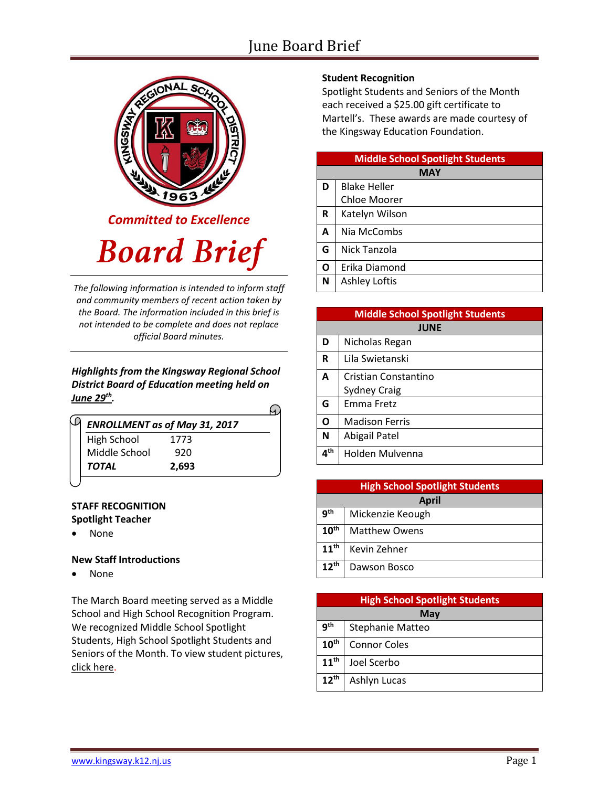## June Board Brief



*Committed to Excellence*

# **Board Brief**

*The following information is intended to inform staff and community members of recent action taken by the Board. The information included in this brief is not intended to be complete and does not replace official Board minutes.*

*Highlights from the Kingsway Regional School District Board of Education meeting held on June 29 th .* 

|                    | <b>ENROLLMENT as of May 31, 2017</b> |  |
|--------------------|--------------------------------------|--|
| <b>High School</b> | 1773                                 |  |
| Middle School      | 920                                  |  |
| TOTAL              | 2,693                                |  |

#### **STAFF RECOGNITION Spotlight Teacher**

None

#### **New Staff Introductions**

• None

The March Board meeting served as a Middle School and High School Recognition Program. We recognized Middle School Spotlight Students, High School Spotlight Students and Seniors of the Month. To view student picture[s,](http://www.krsd.org/Page/1303) [click here.](http://www.krsd.org/Page/1303)

## **Student Recognition**

Spotlight Students and Seniors of the Month each received a \$25.00 gift certificate to Martell's. These awards are made courtesy of the Kingsway Education Foundation.

| <b>Middle School Spotlight Students</b> |                      |  |
|-----------------------------------------|----------------------|--|
| <b>MAY</b>                              |                      |  |
| D                                       | <b>Blake Heller</b>  |  |
|                                         | Chloe Moorer         |  |
| R                                       | Katelyn Wilson       |  |
| A                                       | Nia McCombs          |  |
| G                                       | Nick Tanzola         |  |
| O                                       | Erika Diamond        |  |
| N                                       | <b>Ashley Loftis</b> |  |

| <b>Middle School Spotlight Students</b> |                       |  |
|-----------------------------------------|-----------------------|--|
| <b>JUNE</b>                             |                       |  |
| D                                       | Nicholas Regan        |  |
| R                                       | Lila Swietanski       |  |
| A                                       | Cristian Constantino  |  |
|                                         | <b>Sydney Craig</b>   |  |
| G                                       | Emma Fretz            |  |
| O                                       | <b>Madison Ferris</b> |  |
| N                                       | Abigail Patel         |  |
| $4^{\sf th}$                            | Holden Mulvenna       |  |

| <b>High School Spotlight Students</b> |                      |  |
|---------------------------------------|----------------------|--|
| <b>April</b>                          |                      |  |
| qth                                   | Mickenzie Keough     |  |
| 10 <sup>th</sup>                      | <b>Matthew Owens</b> |  |
| 11 <sup>th</sup>                      | Kevin Zehner         |  |
| $12^{th}$                             | Dawson Bosco         |  |

| <b>High School Spotlight Students</b> |                     |  |
|---------------------------------------|---------------------|--|
| May                                   |                     |  |
| g <sub>th</sub>                       | Stephanie Matteo    |  |
| 10 <sup>th</sup>                      | <b>Connor Coles</b> |  |
| 11 <sup>th</sup>                      | Joel Scerbo         |  |
| 12 <sup>th</sup>                      | Ashlyn Lucas        |  |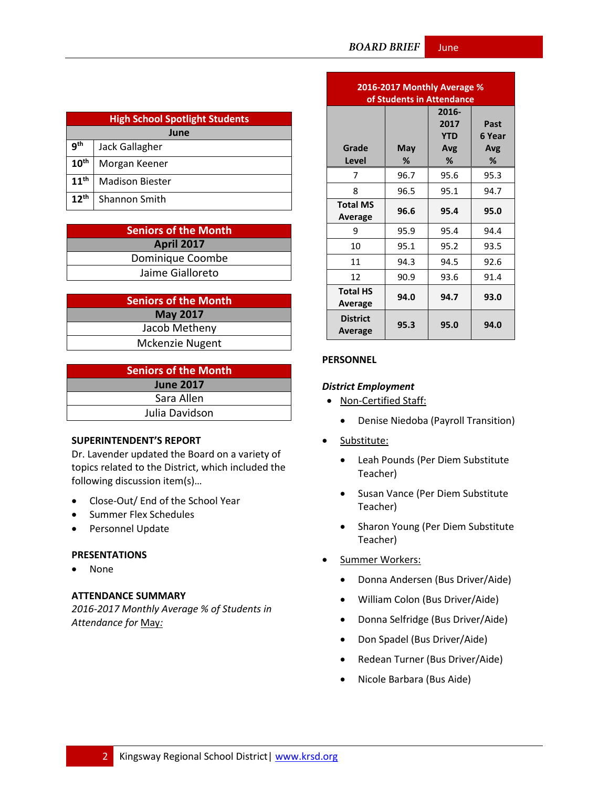| <b>High School Spotlight Students</b> |                        |  |
|---------------------------------------|------------------------|--|
| June                                  |                        |  |
| qth                                   | Jack Gallagher         |  |
| $10^{\text{th}}$                      | Morgan Keener          |  |
| 11 <sup>th</sup>                      | <b>Madison Biester</b> |  |
| $12^{th}$                             | <b>Shannon Smith</b>   |  |

| <b>Seniors of the Month</b> |
|-----------------------------|
| <b>April 2017</b>           |
| Dominique Coombe            |
| Jaime Gialloreto            |

| <b>Seniors of the Month</b> |  |  |
|-----------------------------|--|--|
| <b>May 2017</b>             |  |  |
| Jacob Metheny               |  |  |
| Mckenzie Nugent             |  |  |

| <b>Seniors of the Month</b> |  |  |
|-----------------------------|--|--|
| <b>June 2017</b>            |  |  |
| Sara Allen                  |  |  |
| Julia Davidson              |  |  |

#### **SUPERINTENDENT'S REPORT**

Dr. Lavender updated the Board on a variety of topics related to the District, which included the following discussion item(s)…

- Close-Out/ End of the School Year
- Summer Flex Schedules
- Personnel Update

#### **PRESENTATIONS**

None

#### **ATTENDANCE SUMMARY**

*2016-2017 Monthly Average % of Students in Attendance for* May*:*

| 2016-2017 Monthly Average %<br>of Students in Attendance |          |                                         |                            |
|----------------------------------------------------------|----------|-----------------------------------------|----------------------------|
| Grade<br><b>Level</b>                                    | May<br>% | 2016-<br>2017<br><b>YTD</b><br>Avg<br>℅ | Past<br>6 Year<br>Avg<br>% |
| 7                                                        | 96.7     | 95.6                                    | 95.3                       |
| 8                                                        | 96.5     | 95.1                                    | 94.7                       |
| <b>Total MS</b><br><b>Average</b>                        | 96.6     | 95.4                                    | 95.0                       |
| 9                                                        | 95.9     | 95.4                                    | 94.4                       |
| 10                                                       | 95.1     | 95.2                                    | 93.5                       |
| 11                                                       | 94.3     | 94.5                                    | 92.6                       |
| 12                                                       | 90.9     | 93.6                                    | 91.4                       |
| <b>Total HS</b><br>Average                               | 94.0     | 94.7                                    | 93.0                       |
| <b>District</b><br>Average                               | 95.3     | 95.0                                    | 94.0                       |

#### **PERSONNEL**

#### *District Employment*

- Non-Certified Staff:
	- Denise Niedoba (Payroll Transition)
- Substitute:
	- Leah Pounds (Per Diem Substitute Teacher)
	- Susan Vance (Per Diem Substitute Teacher)
	- Sharon Young (Per Diem Substitute Teacher)
- Summer Workers:
	- Donna Andersen (Bus Driver/Aide)
	- William Colon (Bus Driver/Aide)
	- Donna Selfridge (Bus Driver/Aide)
	- Don Spadel (Bus Driver/Aide)
	- Redean Turner (Bus Driver/Aide)
	- Nicole Barbara (Bus Aide)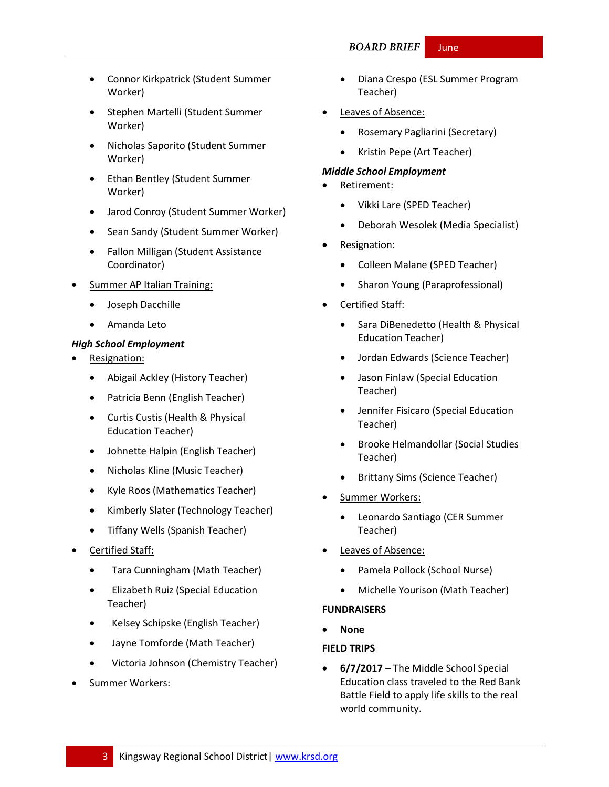- Connor Kirkpatrick (Student Summer Worker)
- Stephen Martelli (Student Summer Worker)
- Nicholas Saporito (Student Summer Worker)
- Ethan Bentley (Student Summer Worker)
- Jarod Conroy (Student Summer Worker)
- Sean Sandy (Student Summer Worker)
- Fallon Milligan (Student Assistance Coordinator)
- Summer AP Italian Training:
	- Joseph Dacchille
	- Amanda Leto

### *High School Employment*

- Resignation:
	- Abigail Ackley (History Teacher)
	- Patricia Benn (English Teacher)
	- Curtis Custis (Health & Physical Education Teacher)
	- Johnette Halpin (English Teacher)
	- Nicholas Kline (Music Teacher)
	- Kyle Roos (Mathematics Teacher)
	- Kimberly Slater (Technology Teacher)
	- Tiffany Wells (Spanish Teacher)
- Certified Staff:
	- Tara Cunningham (Math Teacher)
	- Elizabeth Ruiz (Special Education Teacher)
	- Kelsey Schipske (English Teacher)
	- Jayne Tomforde (Math Teacher)
	- Victoria Johnson (Chemistry Teacher)
- Summer Workers:
- Diana Crespo (ESL Summer Program Teacher)
- Leaves of Absence:
	- Rosemary Pagliarini (Secretary)
	- Kristin Pepe (Art Teacher)

#### *Middle School Employment*

- Retirement:
	- Vikki Lare (SPED Teacher)
	- Deborah Wesolek (Media Specialist)
- Resignation:
	- Colleen Malane (SPED Teacher)
	- Sharon Young (Paraprofessional)
- Certified Staff:
	- Sara DiBenedetto (Health & Physical Education Teacher)
	- Jordan Edwards (Science Teacher)
	- Jason Finlaw (Special Education Teacher)
	- Jennifer Fisicaro (Special Education Teacher)
	- Brooke Helmandollar (Social Studies Teacher)
	- Brittany Sims (Science Teacher)
- Summer Workers:
	- Leonardo Santiago (CER Summer Teacher)
- Leaves of Absence:
	- Pamela Pollock (School Nurse)
	- Michelle Yourison (Math Teacher)

#### **FUNDRAISERS**

**None**

#### **FIELD TRIPS**

 **6/7/2017** – The Middle School Special Education class traveled to the Red Bank Battle Field to apply life skills to the real world community.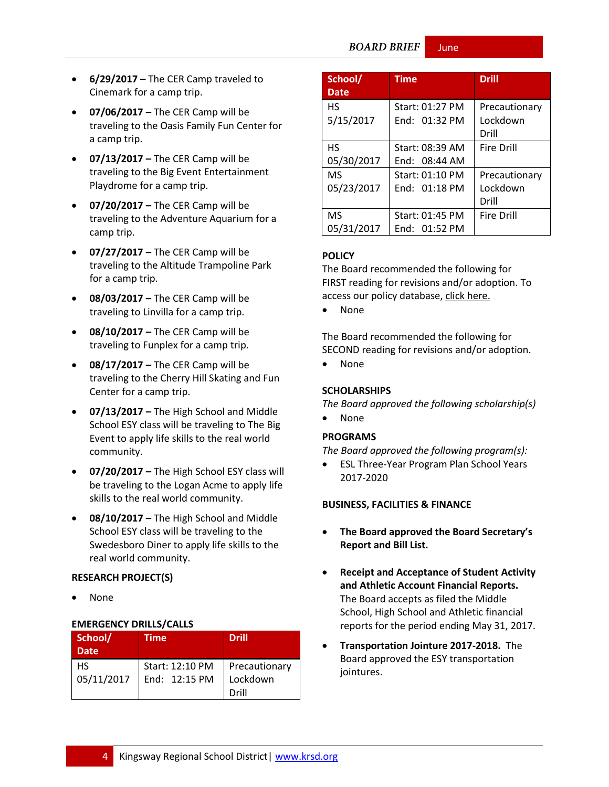#### **BOARD BRIEF** June

- **6/29/2017 –** The CER Camp traveled to Cinemark for a camp trip.
- **07/06/2017 –** The CER Camp will be traveling to the Oasis Family Fun Center for a camp trip.
- **07/13/2017 –** The CER Camp will be traveling to the Big Event Entertainment Playdrome for a camp trip.
- **07/20/2017 –** The CER Camp will be traveling to the Adventure Aquarium for a camp trip.
- **07/27/2017 –** The CER Camp will be traveling to the Altitude Trampoline Park for a camp trip.
- **08/03/2017 –** The CER Camp will be traveling to Linvilla for a camp trip.
- **08/10/2017 –** The CER Camp will be traveling to Funplex for a camp trip.
- **08/17/2017 –** The CER Camp will be traveling to the Cherry Hill Skating and Fun Center for a camp trip.
- **07/13/2017 –** The High School and Middle School ESY class will be traveling to The Big Event to apply life skills to the real world community.
- **07/20/2017 –** The High School ESY class will be traveling to the Logan Acme to apply life skills to the real world community.
- **08/10/2017 –** The High School and Middle School ESY class will be traveling to the Swedesboro Diner to apply life skills to the real world community.

#### **RESEARCH PROJECT(S)**

None

#### **EMERGENCY DRILLS/CALLS**

| School/<br><b>Date</b> | <b>Time</b>                      | <b>Drill</b>              |
|------------------------|----------------------------------|---------------------------|
| НS<br>05/11/2017       | Start: 12:10 PM<br>End: 12:15 PM | Precautionary<br>Lockdown |
|                        |                                  | Drill                     |

| School/<br><b>Date</b>  | <b>Time</b>                        | <b>Drill</b>                       |
|-------------------------|------------------------------------|------------------------------------|
| <b>HS</b><br>5/15/2017  | Start: 01:27 PM<br>End: 01:32 PM   | Precautionary<br>Lockdown<br>Drill |
| НS<br>05/30/2017        | Start: 08:39 AM<br>Find: 08:44 AM  | Fire Drill                         |
| <b>MS</b><br>05/23/2017 | Start: 01:10 PM<br>End: 01:18 PM   | Precautionary<br>Lockdown<br>Drill |
| <b>MS</b><br>05/31/2017 | Start: 01:45 PM<br>End: $01:52$ PM | <b>Fire Drill</b>                  |

#### **[POLICY](http://www.straussesmay.com/seportal/Public/DistrictPolicyTOC.aspx?id=f0cc945ef3894b8d9ad5f87d948ca425&PolicyID=)**

The Board recommended the following for FIRST reading for revisions and/or adoption. To access our policy database, [click here.](http://www.straussesmay.com/seportal/Public/DistrictPolicyTOC.aspx?id=f0cc945ef3894b8d9ad5f87d948ca425&PolicyID=)

None

The Board recommended the following for SECOND reading for revisions and/or adoption.

• None

#### **SCHOLARSHIPS**

*The Board approved the following scholarship(s)* 

None

#### **PROGRAMS**

*The Board approved the following program(s):*

 ESL Three-Year Program Plan School Years 2017-2020

#### **BUSINESS, FACILITIES & FINANCE**

- **The Board approved the Board Secretary's Report and Bill List.**
- **Receipt and Acceptance of Student Activity and Athletic Account Financial Reports.** The Board accepts as filed the Middle School, High School and Athletic financial reports for the period ending May 31, 2017.
- **Transportation Jointure 2017-2018.** The Board approved the ESY transportation jointures.